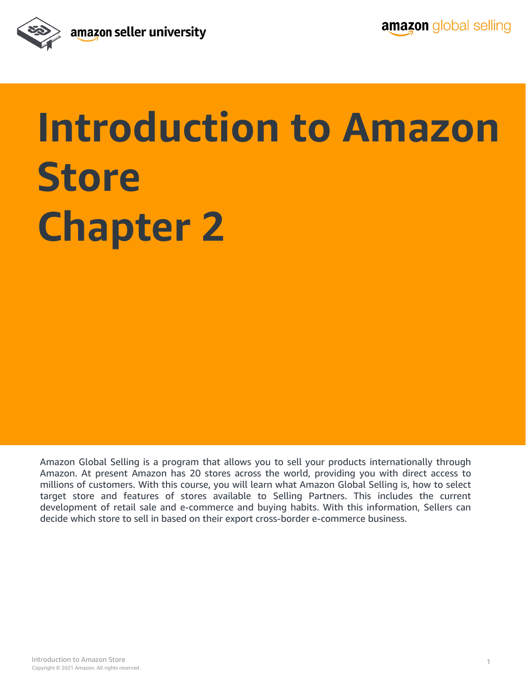

## **Introduction to Amazon Store Chapter 2**

Amazon Global Selling is a program that allows you to sell your products internationally through Amazon. At present Amazon has 20 stores across the world, providing you with direct access to millions of customers. With this course, you will learn what Amazon Global Selling is, how to select target store and features of stores available to Selling Partners. This includes the current development of retail sale and e-commerce and buying habits. With this information, Sellers can decide which store to sell in based on their export cross-border e-commerce business.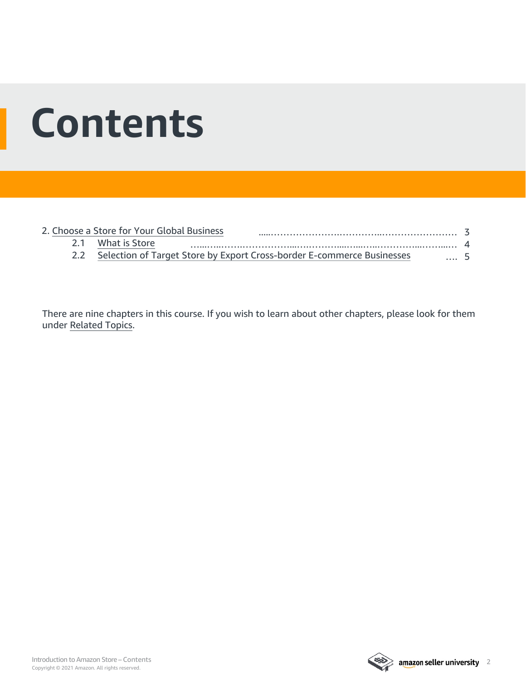### **Contents**

|  | 2. Choose a Store for Your Global Business                                 |      |  |
|--|----------------------------------------------------------------------------|------|--|
|  | 2.1 What is Store                                                          |      |  |
|  | 2.2 Selection of Target Store by Export Cross-border E-commerce Businesses | $-5$ |  |

There are nine chapters in this course. If you wish to learn about other chapters, please look for them under [Related Topics](#page-9-0).

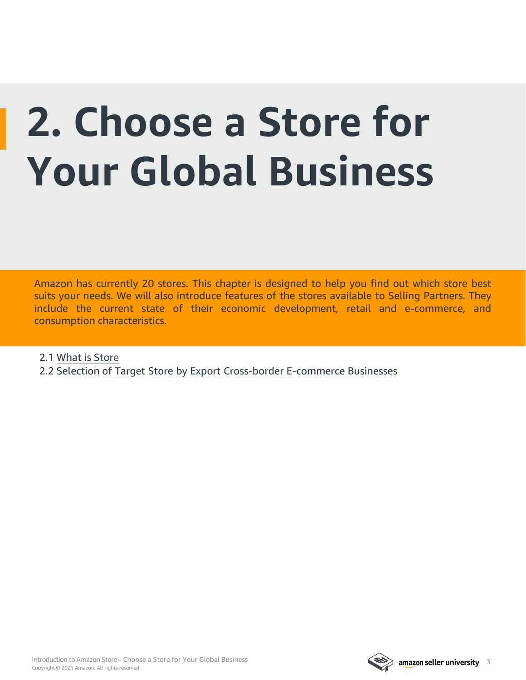# <span id="page-2-0"></span>**2. Choose a Store for Your Global Business**

Amazon has currently 20 stores. This chapter is designed to help you find out which store best suits your needs. We will also introduce features of the stores available to Selling Partners. They include the current state of their economic development, retail and e-commerce, and consumption characteristics.

2.1 [What is Store](#page-3-0)

2.2 [Selection of Target Store by Export Cross-border E-commerce Businesses](#page-4-0)

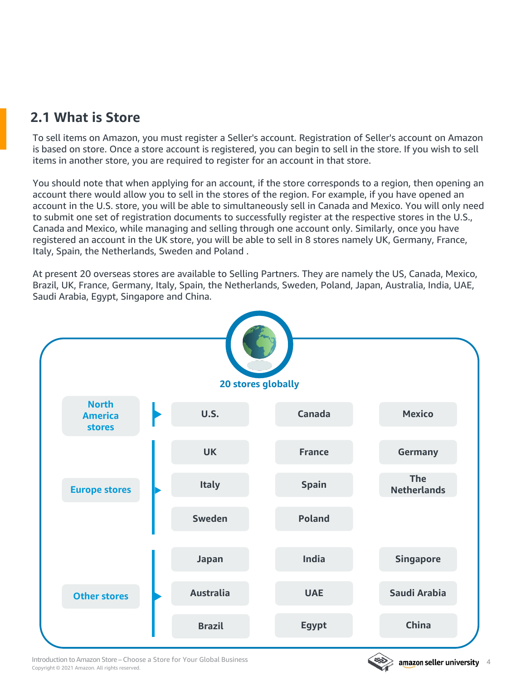### <span id="page-3-0"></span>**2.1 What is Store**

To sell items on Amazon, you must register a Seller's account. Registration of Seller's account on Amazon is based on store. Once a store account is registered, you can begin to sell in the store. If you wish to sell items in another store, you are required to register for an account in that store.

You should note that when applying for an account, if the store corresponds to a region, then opening an account there would allow you to sell in the stores of the region. For example, if you have opened an account in the U.S. store, you will be able to simultaneously sell in Canada and Mexico. You will only need to submit one set of registration documents to successfully register at the respective stores in the U.S., Canada and Mexico, while managing and selling through one account only. Similarly, once you have registered an account in the UK store, you will be able to sell in 8 stores namely UK, Germany, France, Italy, Spain, the Netherlands, Sweden and Poland .

At present 20 overseas stores are available to Selling Partners. They are namely the US, Canada, Mexico, Brazil, UK, France, Germany, Italy, Spain, the Netherlands, Sweden, Poland, Japan, Australia, India, UAE, Saudi Arabia, Egypt, Singapore and China.



Copyright © 2021 Amazon. All rights reserved. Introduction to Amazon Store – Choose a Store for Your Global Business

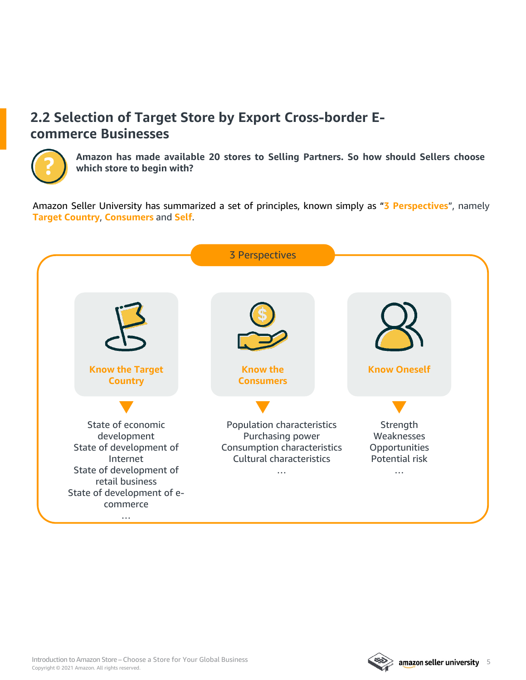### <span id="page-4-0"></span>**2.2 Selection of Target Store by Export Cross-border Ecommerce Businesses**



**Amazon has made available 20 stores to Selling Partners. So how should Sellers choose which store to begin with?**

Amazon Seller University has summarized a set of principles, known simply as "**3 Perspectives**", namely **Target Country**, **Consumers** and **Self**.



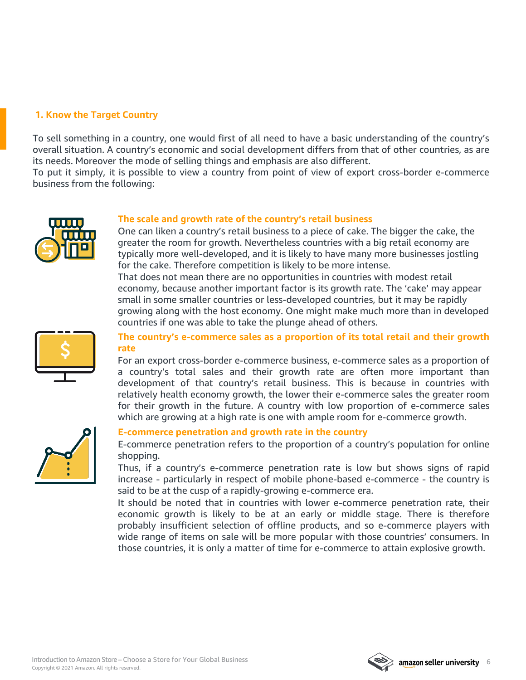#### **1. Know the Target Country**

To sell something in a country, one would first of all need to have a basic understanding of the country's overall situation. A country's economic and social development differs from that of other countries, as are its needs. Moreover the mode of selling things and emphasis are also different.

To put it simply, it is possible to view a country from point of view of export cross-border e-commerce business from the following:



#### **The scale and growth rate of the country's retail business**

One can liken a country's retail business to a piece of cake. The bigger the cake, the greater the room for growth. Nevertheless countries with a big retail economy are typically more well-developed, and it is likely to have many more businesses jostling for the cake. Therefore competition is likely to be more intense.

That does not mean there are no opportunities in countries with modest retail economy, because another important factor is its growth rate. The 'cake' may appear small in some smaller countries or less-developed countries, but it may be rapidly growing along with the host economy. One might make much more than in developed countries if one was able to take the plunge ahead of others.



#### **The country's e-commerce sales as a proportion of its total retail and their growth rate**

For an export cross-border e-commerce business, e-commerce sales as a proportion of a country's total sales and their growth rate are often more important than development of that country's retail business. This is because in countries with relatively health economy growth, the lower their e-commerce sales the greater room for their growth in the future. A country with low proportion of e-commerce sales which are growing at a high rate is one with ample room for e-commerce growth.



#### **E-commerce penetration and growth rate in the country**

E-commerce penetration refers to the proportion of a country's population for online shopping.

Thus, if a country's e-commerce penetration rate is low but shows signs of rapid increase - particularly in respect of mobile phone-based e-commerce - the country is said to be at the cusp of a rapidly-growing e-commerce era.

It should be noted that in countries with lower e-commerce penetration rate, their economic growth is likely to be at an early or middle stage. There is therefore probably insufficient selection of offline products, and so e-commerce players with wide range of items on sale will be more popular with those countries' consumers. In those countries, it is only a matter of time for e-commerce to attain explosive growth.

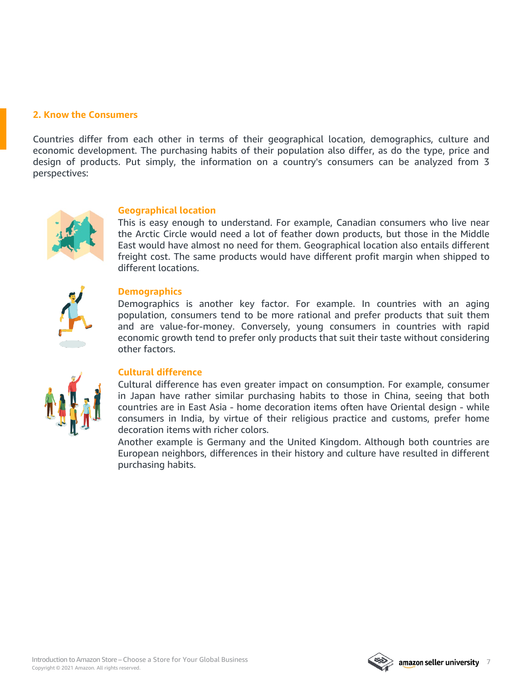#### **2. Know the Consumers**

Countries differ from each other in terms of their geographical location, demographics, culture and economic development. The purchasing habits of their population also differ, as do the type, price and design of products. Put simply, the information on a country's consumers can be analyzed from 3 perspectives:



#### **Geographical location**

This is easy enough to understand. For example, Canadian consumers who live near the Arctic Circle would need a lot of feather down products, but those in the Middle East would have almost no need for them. Geographical location also entails different freight cost. The same products would have different profit margin when shipped to different locations.



#### **Demographics**

Demographics is another key factor. For example. In countries with an aging population, consumers tend to be more rational and prefer products that suit them and are value-for-money. Conversely, young consumers in countries with rapid economic growth tend to prefer only products that suit their taste without considering other factors.



#### **Cultural difference**

Cultural difference has even greater impact on consumption. For example, consumer in Japan have rather similar purchasing habits to those in China, seeing that both countries are in East Asia - home decoration items often have Oriental design - while consumers in India, by virtue of their religious practice and customs, prefer home decoration items with richer colors.

Another example is Germany and the United Kingdom. Although both countries are European neighbors, differences in their history and culture have resulted in different purchasing habits.

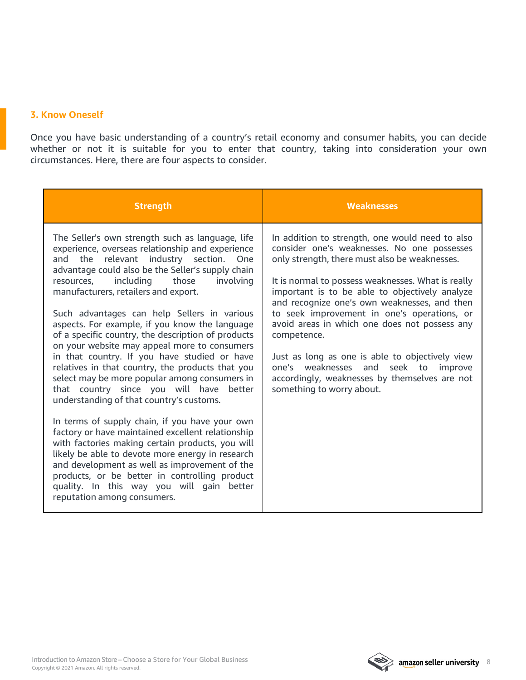#### **3. Know Oneself**

Once you have basic understanding of a country's retail economy and consumer habits, you can decide whether or not it is suitable for you to enter that country, taking into consideration your own circumstances. Here, there are four aspects to consider.

| <b>Strength</b>                                                                                                                                                                                                                                                                                                                                                                                                                                                                                                                                                                                                                                                                                                                                                                                                                                                                                                                                                                                                                                                                                                                                    | <b>Weaknesses</b>                                                                                                                                                                                                                                                                                                                                                                                                                                                                                                                                                                                  |
|----------------------------------------------------------------------------------------------------------------------------------------------------------------------------------------------------------------------------------------------------------------------------------------------------------------------------------------------------------------------------------------------------------------------------------------------------------------------------------------------------------------------------------------------------------------------------------------------------------------------------------------------------------------------------------------------------------------------------------------------------------------------------------------------------------------------------------------------------------------------------------------------------------------------------------------------------------------------------------------------------------------------------------------------------------------------------------------------------------------------------------------------------|----------------------------------------------------------------------------------------------------------------------------------------------------------------------------------------------------------------------------------------------------------------------------------------------------------------------------------------------------------------------------------------------------------------------------------------------------------------------------------------------------------------------------------------------------------------------------------------------------|
| The Seller's own strength such as language, life<br>experience, overseas relationship and experience<br>the relevant industry section.<br>One<br>and<br>advantage could also be the Seller's supply chain<br>those<br>including<br>resources,<br>involving<br>manufacturers, retailers and export.<br>Such advantages can help Sellers in various<br>aspects. For example, if you know the language<br>of a specific country, the description of products<br>on your website may appeal more to consumers<br>in that country. If you have studied or have<br>relatives in that country, the products that you<br>select may be more popular among consumers in<br>that country since you will have better<br>understanding of that country's customs.<br>In terms of supply chain, if you have your own<br>factory or have maintained excellent relationship<br>with factories making certain products, you will<br>likely be able to devote more energy in research<br>and development as well as improvement of the<br>products, or be better in controlling product<br>quality. In this way you will gain better<br>reputation among consumers. | In addition to strength, one would need to also<br>consider one's weaknesses. No one possesses<br>only strength, there must also be weaknesses.<br>It is normal to possess weaknesses. What is really<br>important is to be able to objectively analyze<br>and recognize one's own weaknesses, and then<br>to seek improvement in one's operations, or<br>avoid areas in which one does not possess any<br>competence.<br>Just as long as one is able to objectively view<br>one's weaknesses and seek to<br>improve<br>accordingly, weaknesses by themselves are not<br>something to worry about. |

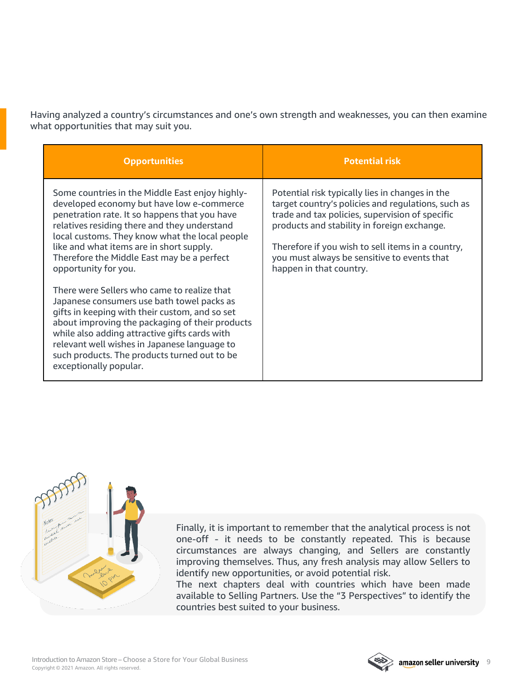Having analyzed a country's circumstances and one's own strength and weaknesses, you can then examine what opportunities that may suit you.

| <b>Opportunities</b>                                                                                                                                                                                                                                                                                                                                                      | <b>Potential risk</b>                                                                                                                                                                                                                                                                                                                  |
|---------------------------------------------------------------------------------------------------------------------------------------------------------------------------------------------------------------------------------------------------------------------------------------------------------------------------------------------------------------------------|----------------------------------------------------------------------------------------------------------------------------------------------------------------------------------------------------------------------------------------------------------------------------------------------------------------------------------------|
| Some countries in the Middle East enjoy highly-<br>developed economy but have low e-commerce<br>penetration rate. It so happens that you have<br>relatives residing there and they understand<br>local customs. They know what the local people<br>like and what items are in short supply.<br>Therefore the Middle East may be a perfect<br>opportunity for you.         | Potential risk typically lies in changes in the<br>target country's policies and regulations, such as<br>trade and tax policies, supervision of specific<br>products and stability in foreign exchange.<br>Therefore if you wish to sell items in a country,<br>you must always be sensitive to events that<br>happen in that country. |
| There were Sellers who came to realize that<br>Japanese consumers use bath towel packs as<br>gifts in keeping with their custom, and so set<br>about improving the packaging of their products<br>while also adding attractive gifts cards with<br>relevant well wishes in Japanese language to<br>such products. The products turned out to be<br>exceptionally popular. |                                                                                                                                                                                                                                                                                                                                        |



Finally, it is important to remember that the analytical process is not one-off - it needs to be constantly repeated. This is because circumstances are always changing, and Sellers are constantly improving themselves. Thus, any fresh analysis may allow Sellers to identify new opportunities, or avoid potential risk.

The next chapters deal with countries which have been made available to Selling Partners. Use the "3 Perspectives" to identify the countries best suited to your business.